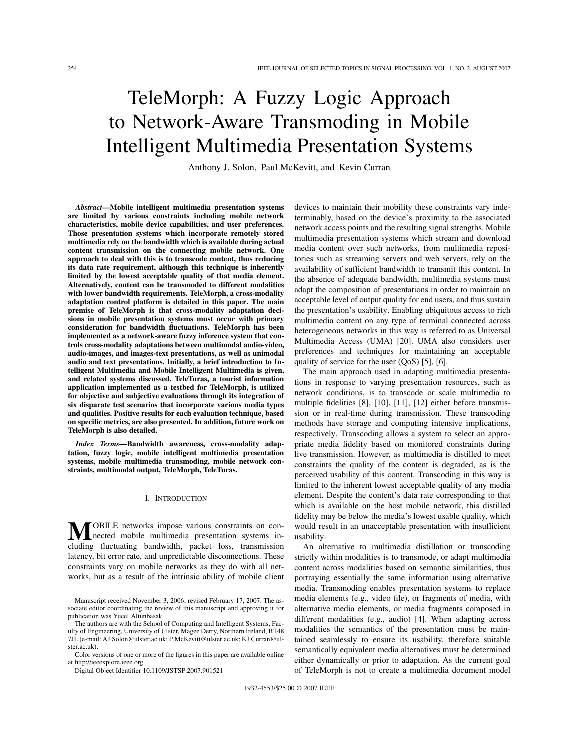# TeleMorph: A Fuzzy Logic Approach to Network-Aware Transmoding in Mobile Intelligent Multimedia Presentation Systems

Anthony J. Solon, Paul McKevitt, and Kevin Curran

*Abstract—***Mobile intelligent multimedia presentation systems are limited by various constraints including mobile network characteristics, mobile device capabilities, and user preferences. Those presentation systems which incorporate remotely stored multimedia rely on the bandwidth which is available during actual content transmission on the connecting mobile network. One approach to deal with this is to transcode content, thus reducing its data rate requirement, although this technique is inherently limited by the lowest acceptable quality of that media element. Alternatively, content can be transmoded to different modalities with lower bandwidth requirements. TeleMorph, a cross-modality adaptation control platform is detailed in this paper. The main premise of TeleMorph is that cross-modality adaptation decisions in mobile presentation systems must occur with primary consideration for bandwidth fluctuations. TeleMorph has been implemented as a network-aware fuzzy inference system that controls cross-modality adaptations between multimodal audio-video, audio-images, and images-text presentations, as well as unimodal audio and text presentations. Initially, a brief introduction to Intelligent Multimedia and Mobile Intelligent Multimedia is given, and related systems discussed. TeleTuras, a tourist information application implemented as a testbed for TeleMorph, is utilized for objective and subjective evaluations through its integration of six disparate test scenarios that incorporate various media types and qualities. Positive results for each evaluation technique, based on specific metrics, are also presented. In addition, future work on TeleMorph is also detailed.**

*Index Terms—***Bandwidth awareness, cross-modality adaptation, fuzzy logic, mobile intelligent multimedia presentation systems, mobile multimedia transmoding, mobile network constraints, multimodal output, TeleMorph, TeleTuras.**

# I. INTRODUCTION

**M**OBILE networks impose various constraints on con-<br>nected mobile multimedia presentation systems including fluctuating bandwidth, packet loss, transmission latency, bit error rate, and unpredictable disconnections. These constraints vary on mobile networks as they do with all networks, but as a result of the intrinsic ability of mobile client

Digital Object Identifier 10.1109/JSTSP.2007.901521

devices to maintain their mobility these constraints vary indeterminably, based on the device's proximity to the associated network access points and the resulting signal strengths. Mobile multimedia presentation systems which stream and download media content over such networks, from multimedia repositories such as streaming servers and web servers, rely on the availability of sufficient bandwidth to transmit this content. In the absence of adequate bandwidth, multimedia systems must adapt the composition of presentations in order to maintain an acceptable level of output quality for end users, and thus sustain the presentation's usability. Enabling ubiquitous access to rich multimedia content on any type of terminal connected across heterogeneous networks in this way is referred to as Universal Multimedia Access (UMA) [20]. UMA also considers user preferences and techniques for maintaining an acceptable quality of service for the user (QoS) [5], [6].

The main approach used in adapting multimedia presentations in response to varying presentation resources, such as network conditions, is to transcode or scale multimedia to multiple fidelities [8], [10], [11], [12] either before transmission or in real-time during transmission. These transcoding methods have storage and computing intensive implications, respectively. Transcoding allows a system to select an appropriate media fidelity based on monitored constraints during live transmission. However, as multimedia is distilled to meet constraints the quality of the content is degraded, as is the perceived usability of this content. Transcoding in this way is limited to the inherent lowest acceptable quality of any media element. Despite the content's data rate corresponding to that which is available on the host mobile network, this distilled fidelity may be below the media's lowest usable quality, which would result in an unacceptable presentation with insufficient usability.

An alternative to multimedia distillation or transcoding strictly within modalities is to transmode, or adapt multimedia content across modalities based on semantic similarities, thus portraying essentially the same information using alternative media. Transmoding enables presentation systems to replace media elements (e.g., video file), or fragments of media, with alternative media elements, or media fragments composed in different modalities (e.g., audio) [4]. When adapting across modalities the semantics of the presentation must be maintained seamlessly to ensure its usability, therefore suitable semantically equivalent media alternatives must be determined either dynamically or prior to adaptation. As the current goal of TeleMorph is not to create a multimedia document model

Manuscript received November 3, 2006; revised February 17, 2007. The associate editor coordinating the review of this manuscript and approving it for publication was Yucel Altunbasak

The authors are with the School of Computing and Intelligent Systems, Faculty of Engineering, University of Ulster, Magee Derry, Northern Ireland, BT48 7JL (e-mail: AJ.Solon@ulster.ac.uk; P.McKevitt@ulster.ac.uk; KJ.Curran@ulster.ac.uk).

Color versions of one or more of the figures in this paper are available online at http://ieeexplore.ieee.org.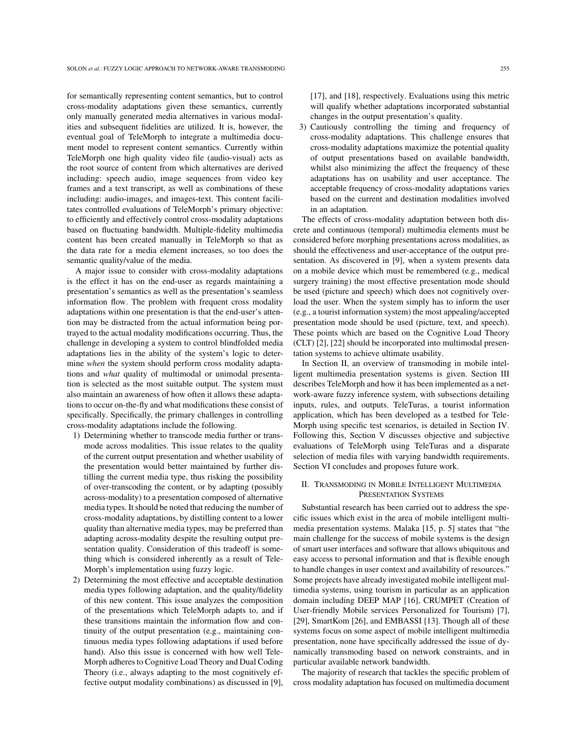for semantically representing content semantics, but to control cross-modality adaptations given these semantics, currently only manually generated media alternatives in various modalities and subsequent fidelities are utilized. It is, however, the eventual goal of TeleMorph to integrate a multimedia document model to represent content semantics. Currently within TeleMorph one high quality video file (audio-visual) acts as the root source of content from which alternatives are derived including: speech audio, image sequences from video key frames and a text transcript, as well as combinations of these including: audio-images, and images-text. This content facilitates controlled evaluations of TeleMorph's primary objective: to efficiently and effectively control cross-modality adaptations based on fluctuating bandwidth. Multiple-fidelity multimedia content has been created manually in TeleMorph so that as the data rate for a media element increases, so too does the semantic quality/value of the media.

A major issue to consider with cross-modality adaptations is the effect it has on the end-user as regards maintaining a presentation's semantics as well as the presentation's seamless information flow. The problem with frequent cross modality adaptations within one presentation is that the end-user's attention may be distracted from the actual information being portrayed to the actual modality modifications occurring. Thus, the challenge in developing a system to control blindfolded media adaptations lies in the ability of the system's logic to determine *when* the system should perform cross modality adaptations and *what* quality of multimodal or unimodal presentation is selected as the most suitable output. The system must also maintain an awareness of how often it allows these adaptations to occur on-the-fly and what modifications these consist of specifically. Specifically, the primary challenges in controlling cross-modality adaptations include the following.

- 1) Determining whether to transcode media further or transmode across modalities. This issue relates to the quality of the current output presentation and whether usability of the presentation would better maintained by further distilling the current media type, thus risking the possibility of over-transcoding the content, or by adapting (possibly across-modality) to a presentation composed of alternative media types. It should be noted that reducing the number of cross-modality adaptations, by distilling content to a lower quality than alternative media types, may be preferred than adapting across-modality despite the resulting output presentation quality. Consideration of this tradeoff is something which is considered inherently as a result of Tele-Morph's implementation using fuzzy logic.
- 2) Determining the most effective and acceptable destination media types following adaptation, and the quality/fidelity of this new content. This issue analyzes the composition of the presentations which TeleMorph adapts to, and if these transitions maintain the information flow and continuity of the output presentation (e.g., maintaining continuous media types following adaptations if used before hand). Also this issue is concerned with how well Tele-Morph adheres to Cognitive Load Theory and Dual Coding Theory (i.e., always adapting to the most cognitively effective output modality combinations) as discussed in [9],

[17], and [18], respectively. Evaluations using this metric will qualify whether adaptations incorporated substantial changes in the output presentation's quality.

3) Cautiously controlling the timing and frequency of cross-modality adaptations. This challenge ensures that cross-modality adaptations maximize the potential quality of output presentations based on available bandwidth, whilst also minimizing the affect the frequency of these adaptations has on usability and user acceptance. The acceptable frequency of cross-modality adaptations varies based on the current and destination modalities involved in an adaptation.

The effects of cross-modality adaptation between both discrete and continuous (temporal) multimedia elements must be considered before morphing presentations across modalities, as should the effectiveness and user-acceptance of the output presentation. As discovered in [9], when a system presents data on a mobile device which must be remembered (e.g., medical surgery training) the most effective presentation mode should be used (picture and speech) which does not cognitively overload the user. When the system simply has to inform the user (e.g., a tourist information system) the most appealing/accepted presentation mode should be used (picture, text, and speech). These points which are based on the Cognitive Load Theory (CLT) [2], [22] should be incorporated into multimodal presentation systems to achieve ultimate usability.

In Section II, an overview of transmoding in mobile intelligent multimedia presentation systems is given. Section III describes TeleMorph and how it has been implemented as a network-aware fuzzy inference system, with subsections detailing inputs, rules, and outputs. TeleTuras, a tourist information application, which has been developed as a testbed for Tele-Morph using specific test scenarios, is detailed in Section IV. Following this, Section V discusses objective and subjective evaluations of TeleMorph using TeleTuras and a disparate selection of media files with varying bandwidth requirements. Section VI concludes and proposes future work.

# II. TRANSMODING IN MOBILE INTELLIGENT MULTIMEDIA PRESENTATION SYSTEMS

Substantial research has been carried out to address the specific issues which exist in the area of mobile intelligent multimedia presentation systems. Malaka [15, p. 5] states that "the main challenge for the success of mobile systems is the design of smart user interfaces and software that allows ubiquitous and easy access to personal information and that is flexible enough to handle changes in user context and availability of resources." Some projects have already investigated mobile intelligent multimedia systems, using tourism in particular as an application domain including DEEP MAP [16], CRUMPET (Creation of User-friendly Mobile services Personalized for Tourism) [7], [29], SmartKom [26], and EMBASSI [13]. Though all of these systems focus on some aspect of mobile intelligent multimedia presentation, none have specifically addressed the issue of dynamically transmoding based on network constraints, and in particular available network bandwidth.

The majority of research that tackles the specific problem of cross modality adaptation has focused on multimedia document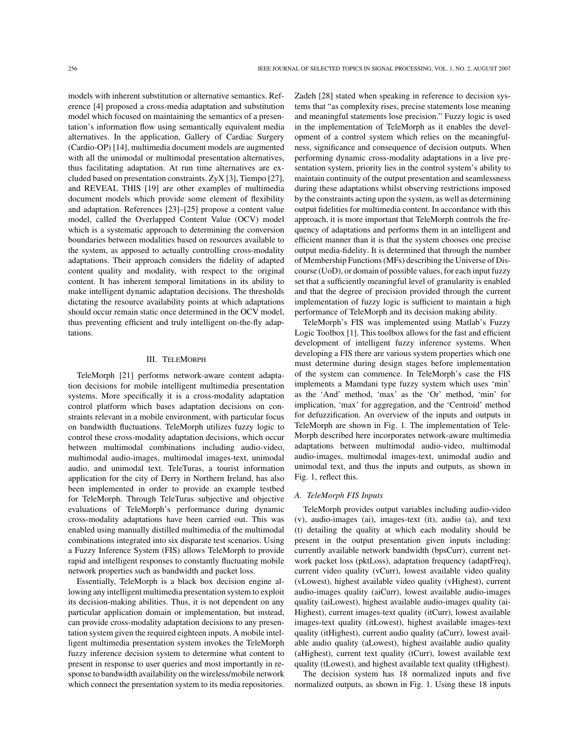models with inherent substitution or alternative semantics. Reference [4] proposed a cross-media adaptation and substitution model which focused on maintaining the semantics of a presentation's information flow using semantically equivalent media alternatives. In the application, Gallery of Cardiac Surgery (Cardio-OP) [14], multimedia document models are augmented with all the unimodal or multimodal presentation alternatives, thus facilitating adaptation. At run time alternatives are excluded based on presentation constraints. ZyX [3], Tiempo [27], and REVEAL THIS [19] are other examples of multimedia document models which provide some element of flexibility and adaptation. References [23]–[25] propose a content value model, called the Overlapped Content Value (OCV) model which is a systematic approach to determining the conversion boundaries between modalities based on resources available to the system, as apposed to actually controlling cross-modality adaptations. Their approach considers the fidelity of adapted content quality and modality, with respect to the original content. It has inherent temporal limitations in its ability to make intelligent dynamic adaptation decisions. The thresholds dictating the resource availability points at which adaptations should occur remain static once determined in the OCV model, thus preventing efficient and truly intelligent on-the-fly adaptations.

## III. TELEMORPH

TeleMorph [21] performs network-aware content adaptation decisions for mobile intelligent multimedia presentation systems. More specifically it is a cross-modality adaptation control platform which bases adaptation decisions on constraints relevant in a mobile environment, with particular focus on bandwidth fluctuations. TeleMorph utilizes fuzzy logic to control these cross-modality adaptation decisions, which occur between multimodal combinations including audio-video, multimodal audio-images, multimodal images-text, unimodal audio, and unimodal text. TeleTuras, a tourist information application for the city of Derry in Northern Ireland, has also been implemented in order to provide an example testbed for TeleMorph. Through TeleTuras subjective and objective evaluations of TeleMorph's performance during dynamic cross-modality adaptations have been carried out. This was enabled using manually distilled multimedia of the multimodal combinations integrated into six disparate test scenarios. Using a Fuzzy Inference System (FIS) allows TeleMorph to provide rapid and intelligent responses to constantly fluctuating mobile network properties such as bandwidth and packet loss.

Essentially, TeleMorph is a black box decision engine allowing any intelligent multimedia presentation system to exploit its decision-making abilities. Thus, it is not dependent on any particular application domain or implementation, but instead, can provide cross-modality adaptation decisions to any presentation system given the required eighteen inputs. A mobile intelligent multimedia presentation system invokes the TeleMorph fuzzy inference decision system to determine what content to present in response to user queries and most importantly in response to bandwidth availability on the wireless/mobile network which connect the presentation system to its media repositories.

Zadeh [28] stated when speaking in reference to decision systems that "as complexity rises, precise statements lose meaning and meaningful statements lose precision." Fuzzy logic is used in the implementation of TeleMorph as it enables the development of a control system which relies on the meaningfulness, significance and consequence of decision outputs. When performing dynamic cross-modality adaptations in a live presentation system, priority lies in the control system's ability to maintain continuity of the output presentation and seamlessness during these adaptations whilst observing restrictions imposed by the constraints acting upon the system, as well as determining output fidelities for multimedia content. In accordance with this approach, it is more important that TeleMorph controls the frequency of adaptations and performs them in an intelligent and efficient manner than it is that the system chooses one precise output media-fidelity. It is determined that through the number of Membership Functions (MFs) describing the Universe of Discourse (UoD), or domain of possible values, for each input fuzzy set that a sufficiently meaningful level of granularity is enabled and that the degree of precision provided through the current implementation of fuzzy logic is sufficient to maintain a high performance of TeleMorph and its decision making ability.

TeleMorph's FIS was implemented using Matlab's Fuzzy Logic Toolbox [1]. This toolbox allows for the fast and efficient development of intelligent fuzzy inference systems. When developing a FIS there are various system properties which one must determine during design stages before implementation of the system can commence. In TeleMorph's case the FIS implements a Mamdani type fuzzy system which uses 'min' as the 'And' method, 'max' as the 'Or' method, 'min' for implication, 'max' for aggregation, and the 'Centroid' method for defuzzification. An overview of the inputs and outputs in TeleMorph are shown in Fig. 1. The implementation of Tele-Morph described here incorporates network-aware multimedia adaptations between multimodal audio-video, multimodal audio-images, multimodal images-text, unimodal audio and unimodal text, and thus the inputs and outputs, as shown in Fig. 1, reflect this.

# *A. TeleMorph FIS Inputs*

TeleMorph provides output variables including audio-video (v), audio-images (ai), images-text (it), audio (a), and text (t) detailing the quality at which each modality should be present in the output presentation given inputs including: currently available network bandwidth (bpsCurr), current network packet loss (pktLoss), adaptation frequency (adaptFreq), current video quality (vCurr), lowest available video quality (vLowest), highest available video quality (vHighest), current audio-images quality (aiCurr), lowest available audio-images quality (aiLowest), highest available audio-images quality (ai-Highest), current images-text quality (itCurr), lowest available images-text quality (itLowest), highest available images-text quality (itHighest), current audio quality (aCurr), lowest available audio quality (aLowest), highest available audio quality (aHighest), current text quality (tCurr), lowest available text quality (tLowest), and highest available text quality (tHighest).

The decision system has 18 normalized inputs and five normalized outputs, as shown in Fig. 1. Using these 18 inputs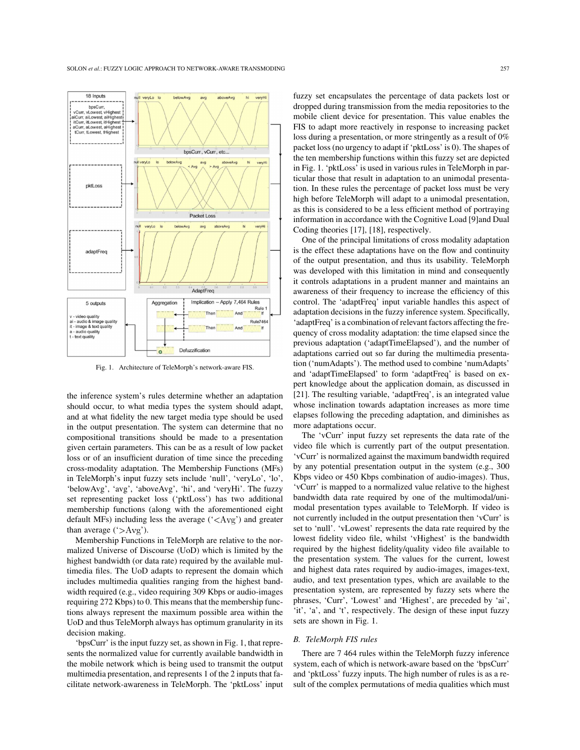

Fig. 1. Architecture of TeleMorph's network-aware FIS.

the inference system's rules determine whether an adaptation should occur, to what media types the system should adapt, and at what fidelity the new target media type should be used in the output presentation. The system can determine that no compositional transitions should be made to a presentation given certain parameters. This can be as a result of low packet loss or of an insufficient duration of time since the preceding cross-modality adaptation. The Membership Functions (MFs) in TeleMorph's input fuzzy sets include 'null', 'veryLo', 'lo', 'belowAvg', 'avg', 'aboveAvg', 'hi', and 'veryHi'. The fuzzy set representing packet loss ('pktLoss') has two additional membership functions (along with the aforementioned eight default MFs) including less the average  $(\angle Avg')$  and greater than average  $(\angle A \vee g')$ .

Membership Functions in TeleMorph are relative to the normalized Universe of Discourse (UoD) which is limited by the highest bandwidth (or data rate) required by the available multimedia files. The UoD adapts to represent the domain which includes multimedia qualities ranging from the highest bandwidth required (e.g., video requiring 309 Kbps or audio-images requiring 272 Kbps) to 0. This means that the membership functions always represent the maximum possible area within the UoD and thus TeleMorph always has optimum granularity in its decision making.

'bpsCurr' is the input fuzzy set, as shown in Fig. 1, that represents the normalized value for currently available bandwidth in the mobile network which is being used to transmit the output multimedia presentation, and represents 1 of the 2 inputs that facilitate network-awareness in TeleMorph. The 'pktLoss' input

fuzzy set encapsulates the percentage of data packets lost or dropped during transmission from the media repositories to the mobile client device for presentation. This value enables the FIS to adapt more reactively in response to increasing packet loss during a presentation, or more stringently as a result of 0% packet loss (no urgency to adapt if 'pktLoss' is 0). The shapes of the ten membership functions within this fuzzy set are depicted in Fig. 1. 'pktLoss' is used in various rules in TeleMorph in particular those that result in adaptation to an unimodal presentation. In these rules the percentage of packet loss must be very high before TeleMorph will adapt to a unimodal presentation, as this is considered to be a less efficient method of portraying information in accordance with the Cognitive Load [9]and Dual Coding theories [17], [18], respectively.

One of the principal limitations of cross modality adaptation is the effect these adaptations have on the flow and continuity of the output presentation, and thus its usability. TeleMorph was developed with this limitation in mind and consequently it controls adaptations in a prudent manner and maintains an awareness of their frequency to increase the efficiency of this control. The 'adaptFreq' input variable handles this aspect of adaptation decisions in the fuzzy inference system. Specifically, 'adaptFreq'is a combination of relevant factors affecting the frequency of cross modality adaptation: the time elapsed since the previous adaptation ('adaptTimeElapsed'), and the number of adaptations carried out so far during the multimedia presentation ('numAdapts'). The method used to combine 'numAdapts' and 'adaptTimeElapsed' to form 'adaptFreq' is based on expert knowledge about the application domain, as discussed in [21]. The resulting variable, 'adaptFreq', is an integrated value whose inclination towards adaptation increases as more time elapses following the preceding adaptation, and diminishes as more adaptations occur.

The 'vCurr' input fuzzy set represents the data rate of the video file which is currently part of the output presentation. 'vCurr' is normalized against the maximum bandwidth required by any potential presentation output in the system (e.g., 300 Kbps video or 450 Kbps combination of audio-images). Thus, 'vCurr' is mapped to a normalized value relative to the highest bandwidth data rate required by one of the multimodal/unimodal presentation types available to TeleMorph. If video is not currently included in the output presentation then 'vCurr' is set to 'null'. 'vLowest' represents the data rate required by the lowest fidelity video file, whilst 'vHighest' is the bandwidth required by the highest fidelity/quality video file available to the presentation system. The values for the current, lowest and highest data rates required by audio-images, images-text, audio, and text presentation types, which are available to the presentation system, are represented by fuzzy sets where the phrases, 'Curr', 'Lowest' and 'Highest', are preceded by 'ai', 'it', 'a', and 't', respectively. The design of these input fuzzy sets are shown in Fig. 1.

### *B. TeleMorph FIS rules*

There are 7 464 rules within the TeleMorph fuzzy inference system, each of which is network-aware based on the 'bpsCurr' and 'pktLoss' fuzzy inputs. The high number of rules is as a result of the complex permutations of media qualities which must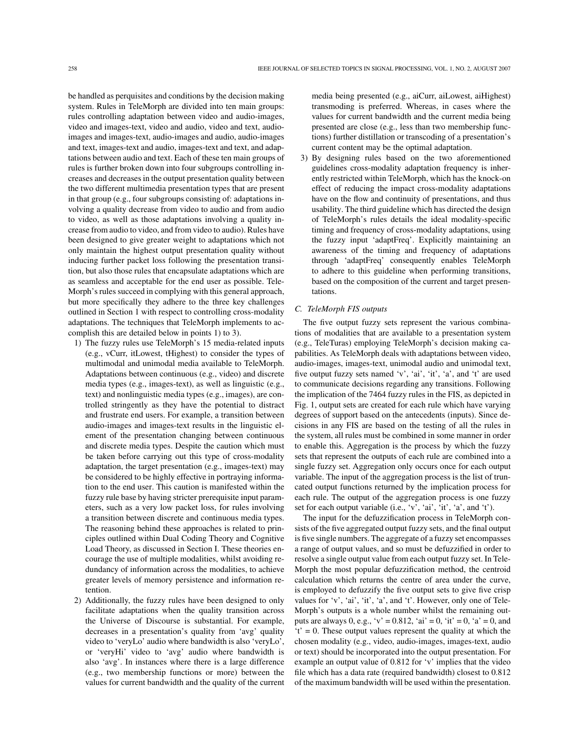be handled as perquisites and conditions by the decision making system. Rules in TeleMorph are divided into ten main groups: rules controlling adaptation between video and audio-images, video and images-text, video and audio, video and text, audioimages and images-text, audio-images and audio, audio-images and text, images-text and audio, images-text and text, and adaptations between audio and text. Each of these ten main groups of rules is further broken down into four subgroups controlling increases and decreases in the output presentation quality between the two different multimedia presentation types that are present in that group (e.g., four subgroups consisting of: adaptations involving a quality decrease from video to audio and from audio to video, as well as those adaptations involving a quality increase from audio to video, and from video to audio). Rules have been designed to give greater weight to adaptations which not only maintain the highest output presentation quality without inducing further packet loss following the presentation transition, but also those rules that encapsulate adaptations which are as seamless and acceptable for the end user as possible. Tele-Morph's rules succeed in complying with this general approach, but more specifically they adhere to the three key challenges outlined in Section 1 with respect to controlling cross-modality adaptations. The techniques that TeleMorph implements to accomplish this are detailed below in points 1) to 3).

- 1) The fuzzy rules use TeleMorph's 15 media-related inputs (e.g., vCurr, itLowest, tHighest) to consider the types of multimodal and unimodal media available to TeleMorph. Adaptations between continuous (e.g., video) and discrete media types (e.g., images-text), as well as linguistic (e.g., text) and nonlinguistic media types (e.g., images), are controlled stringently as they have the potential to distract and frustrate end users. For example, a transition between audio-images and images-text results in the linguistic element of the presentation changing between continuous and discrete media types. Despite the caution which must be taken before carrying out this type of cross-modality adaptation, the target presentation (e.g., images-text) may be considered to be highly effective in portraying information to the end user. This caution is manifested within the fuzzy rule base by having stricter prerequisite input parameters, such as a very low packet loss, for rules involving a transition between discrete and continuous media types. The reasoning behind these approaches is related to principles outlined within Dual Coding Theory and Cognitive Load Theory, as discussed in Section I. These theories encourage the use of multiple modalities, whilst avoiding redundancy of information across the modalities, to achieve greater levels of memory persistence and information retention.
- 2) Additionally, the fuzzy rules have been designed to only facilitate adaptations when the quality transition across the Universe of Discourse is substantial. For example, decreases in a presentation's quality from 'avg' quality video to 'veryLo' audio where bandwidth is also 'veryLo', or 'veryHi' video to 'avg' audio where bandwidth is also 'avg'. In instances where there is a large difference (e.g., two membership functions or more) between the values for current bandwidth and the quality of the current

media being presented (e.g., aiCurr, aiLowest, aiHighest) transmoding is preferred. Whereas, in cases where the values for current bandwidth and the current media being presented are close (e.g., less than two membership functions) further distillation or transcoding of a presentation's current content may be the optimal adaptation.

3) By designing rules based on the two aforementioned guidelines cross-modality adaptation frequency is inherently restricted within TeleMorph, which has the knock-on effect of reducing the impact cross-modality adaptations have on the flow and continuity of presentations, and thus usability. The third guideline which has directed the design of TeleMorph's rules details the ideal modality-specific timing and frequency of cross-modality adaptations, using the fuzzy input 'adaptFreq'. Explicitly maintaining an awareness of the timing and frequency of adaptations through 'adaptFreq' consequently enables TeleMorph to adhere to this guideline when performing transitions, based on the composition of the current and target presentations.

#### *C. TeleMorph FIS outputs*

The five output fuzzy sets represent the various combinations of modalities that are available to a presentation system (e.g., TeleTuras) employing TeleMorph's decision making capabilities. As TeleMorph deals with adaptations between video, audio-images, images-text, unimodal audio and unimodal text, five output fuzzy sets named 'v', 'ai', 'it', 'a', and 't' are used to communicate decisions regarding any transitions. Following the implication of the 7464 fuzzy rules in the FIS, as depicted in Fig. 1, output sets are created for each rule which have varying degrees of support based on the antecedents (inputs). Since decisions in any FIS are based on the testing of all the rules in the system, all rules must be combined in some manner in order to enable this. Aggregation is the process by which the fuzzy sets that represent the outputs of each rule are combined into a single fuzzy set. Aggregation only occurs once for each output variable. The input of the aggregation process is the list of truncated output functions returned by the implication process for each rule. The output of the aggregation process is one fuzzy set for each output variable (i.e., 'v', 'ai', 'it', 'a', and 't').

The input for the defuzzification process in TeleMorph consists of the five aggregated output fuzzy sets, and the final output is five single numbers. The aggregate of a fuzzy set encompasses a range of output values, and so must be defuzzified in order to resolve a single output value from each output fuzzy set. In Tele-Morph the most popular defuzzification method, the centroid calculation which returns the centre of area under the curve, is employed to defuzzify the five output sets to give five crisp values for 'v', 'ai', 'it', 'a', and 't'. However, only one of Tele-Morph's outputs is a whole number whilst the remaining outputs are always 0, e.g., 'v' =  $0.812$ , 'ai' =  $0$ , 'it' =  $0$ , 'a' =  $0$ , and  $t' = 0$ . These output values represent the quality at which the chosen modality (e.g., video, audio-images, images-text, audio or text) should be incorporated into the output presentation. For example an output value of 0.812 for 'v' implies that the video file which has a data rate (required bandwidth) closest to 0.812 of the maximum bandwidth will be used within the presentation.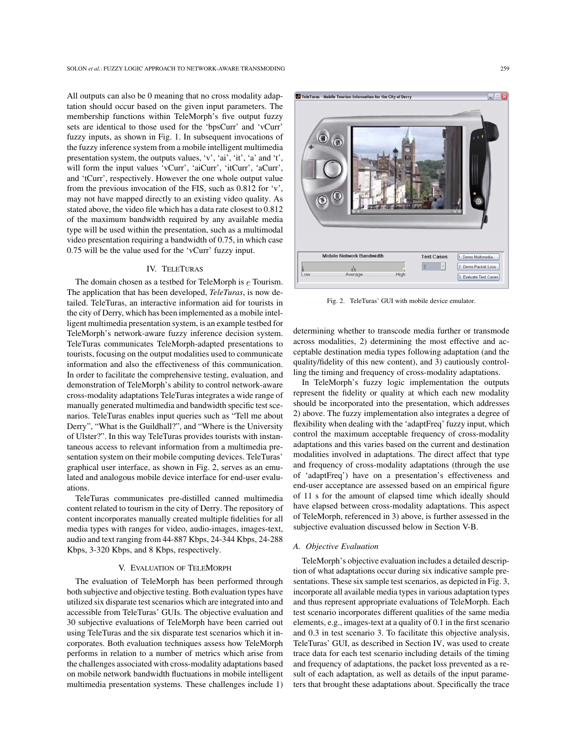All outputs can also be 0 meaning that no cross modality adaptation should occur based on the given input parameters. The membership functions within TeleMorph's five output fuzzy sets are identical to those used for the 'bpsCurr' and 'vCurr' fuzzy inputs, as shown in Fig. 1. In subsequent invocations of the fuzzy inference system from a mobile intelligent multimedia presentation system, the outputs values, 'v', 'ai', 'it', 'a' and 't', will form the input values 'vCurr', 'aiCurr', 'itCurr', 'aCurr', and 'tCurr', respectively. However the one whole output value from the previous invocation of the FIS, such as 0.812 for 'v', may not have mapped directly to an existing video quality. As stated above, the video file which has a data rate closest to 0.812 of the maximum bandwidth required by any available media type will be used within the presentation, such as a multimodal video presentation requiring a bandwidth of 0.75, in which case 0.75 will be the value used for the 'vCurr' fuzzy input.

# IV. TELETURAS

The domain chosen as a testbed for TeleMorph is  $e$  Tourism. The application that has been developed, *TeleTuras*, is now detailed. TeleTuras, an interactive information aid for tourists in the city of Derry, which has been implemented as a mobile intelligent multimedia presentation system, is an example testbed for TeleMorph's network-aware fuzzy inference decision system. TeleTuras communicates TeleMorph-adapted presentations to tourists, focusing on the output modalities used to communicate information and also the effectiveness of this communication. In order to facilitate the comprehensive testing, evaluation, and demonstration of TeleMorph's ability to control network-aware cross-modality adaptations TeleTuras integrates a wide range of manually generated multimedia and bandwidth specific test scenarios. TeleTuras enables input queries such as "Tell me about Derry", "What is the Guildhall?", and "Where is the University of Ulster?". In this way TeleTuras provides tourists with instantaneous access to relevant information from a multimedia presentation system on their mobile computing devices. TeleTuras' graphical user interface, as shown in Fig. 2, serves as an emulated and analogous mobile device interface for end-user evaluations.

TeleTuras communicates pre-distilled canned multimedia content related to tourism in the city of Derry. The repository of content incorporates manually created multiple fidelities for all media types with ranges for video, audio-images, images-text, audio and text ranging from 44-887 Kbps, 24-344 Kbps, 24-288 Kbps, 3-320 Kbps, and 8 Kbps, respectively.

# V. EVALUATION OF TELEMORPH

The evaluation of TeleMorph has been performed through both subjective and objective testing. Both evaluation types have utilized six disparate test scenarios which are integrated into and accessible from TeleTuras' GUIs. The objective evaluation and 30 subjective evaluations of TeleMorph have been carried out using TeleTuras and the six disparate test scenarios which it incorporates. Both evaluation techniques assess how TeleMorph performs in relation to a number of metrics which arise from the challenges associated with cross-modality adaptations based on mobile network bandwidth fluctuations in mobile intelligent multimedia presentation systems. These challenges include 1)



Fig. 2. TeleTuras' GUI with mobile device emulator.

determining whether to transcode media further or transmode across modalities, 2) determining the most effective and acceptable destination media types following adaptation (and the quality/fidelity of this new content), and 3) cautiously controlling the timing and frequency of cross-modality adaptations.

In TeleMorph's fuzzy logic implementation the outputs represent the fidelity or quality at which each new modality should be incorporated into the presentation, which addresses 2) above. The fuzzy implementation also integrates a degree of flexibility when dealing with the 'adaptFreq' fuzzy input, which control the maximum acceptable frequency of cross-modality adaptations and this varies based on the current and destination modalities involved in adaptations. The direct affect that type and frequency of cross-modality adaptations (through the use of 'adaptFreq') have on a presentation's effectiveness and end-user acceptance are assessed based on an empirical figure of 11 s for the amount of elapsed time which ideally should have elapsed between cross-modality adaptations. This aspect of TeleMorph, referenced in 3) above, is further assessed in the subjective evaluation discussed below in Section V-B.

## *A. Objective Evaluation*

TeleMorph's objective evaluation includes a detailed description of what adaptations occur during six indicative sample presentations. These six sample test scenarios, as depicted in Fig. 3, incorporate all available media types in various adaptation types and thus represent appropriate evaluations of TeleMorph. Each test scenario incorporates different qualities of the same media elements, e.g., images-text at a quality of 0.1 in the first scenario and 0.3 in test scenario 3. To facilitate this objective analysis, TeleTuras' GUI, as described in Section IV, was used to create trace data for each test scenario including details of the timing and frequency of adaptations, the packet loss prevented as a result of each adaptation, as well as details of the input parameters that brought these adaptations about. Specifically the trace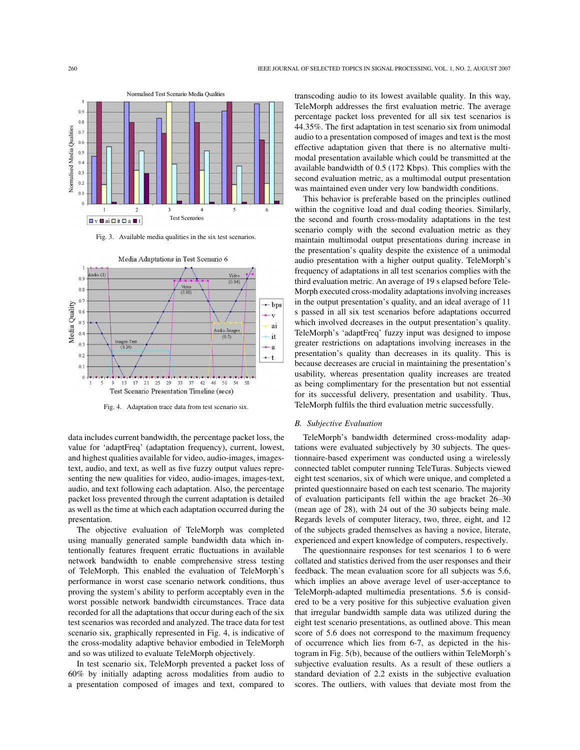

Fig. 3. Available media qualities in the six test scenarios.



Fig. 4. Adaptation trace data from test scenario six.

data includes current bandwidth, the percentage packet loss, the value for 'adaptFreq' (adaptation frequency), current, lowest, and highest qualities available for video, audio-images, imagestext, audio, and text, as well as five fuzzy output values representing the new qualities for video, audio-images, images-text, audio, and text following each adaptation. Also, the percentage packet loss prevented through the current adaptation is detailed as well as the time at which each adaptation occurred during the presentation.

The objective evaluation of TeleMorph was completed using manually generated sample bandwidth data which intentionally features frequent erratic fluctuations in available network bandwidth to enable comprehensive stress testing of TeleMorph. This enabled the evaluation of TeleMorph's performance in worst case scenario network conditions, thus proving the system's ability to perform acceptably even in the worst possible network bandwidth circumstances. Trace data recorded for all the adaptations that occur during each of the six test scenarios was recorded and analyzed. The trace data for test scenario six, graphically represented in Fig. 4, is indicative of the cross-modality adaptive behavior embodied in TeleMorph and so was utilized to evaluate TeleMorph objectively.

In test scenario six, TeleMorph prevented a packet loss of 60% by initially adapting across modalities from audio to a presentation composed of images and text, compared to

transcoding audio to its lowest available quality. In this way, TeleMorph addresses the first evaluation metric. The average percentage packet loss prevented for all six test scenarios is 44.35%. The first adaptation in test scenario six from unimodal audio to a presentation composed of images and text is the most effective adaptation given that there is no alternative multimodal presentation available which could be transmitted at the available bandwidth of 0.5 (172 Kbps). This complies with the second evaluation metric, as a multimodal output presentation was maintained even under very low bandwidth conditions.

This behavior is preferable based on the principles outlined within the cognitive load and dual coding theories. Similarly, the second and fourth cross-modality adaptations in the test scenario comply with the second evaluation metric as they maintain multimodal output presentations during increase in the presentation's quality despite the existence of a unimodal audio presentation with a higher output quality. TeleMorph's frequency of adaptations in all test scenarios complies with the third evaluation metric. An average of 19 s elapsed before Tele-Morph executed cross-modality adaptations involving increases in the output presentation's quality, and an ideal average of 11 s passed in all six test scenarios before adaptations occurred which involved decreases in the output presentation's quality. TeleMorph's 'adaptFreq' fuzzy input was designed to impose greater restrictions on adaptations involving increases in the presentation's quality than decreases in its quality. This is because decreases are crucial in maintaining the presentation's usability, whereas presentation quality increases are treated as being complimentary for the presentation but not essential for its successful delivery, presentation and usability. Thus, TeleMorph fulfils the third evaluation metric successfully.

#### *B. Subjective Evaluation*

TeleMorph's bandwidth determined cross-modality adaptations were evaluated subjectively by 30 subjects. The questionnaire-based experiment was conducted using a wirelessly connected tablet computer running TeleTuras. Subjects viewed eight test scenarios, six of which were unique, and completed a printed questionnaire based on each test scenario. The majority of evaluation participants fell within the age bracket 26–30 (mean age of 28), with 24 out of the 30 subjects being male. Regards levels of computer literacy, two, three, eight, and 12 of the subjects graded themselves as having a novice, literate, experienced and expert knowledge of computers, respectively.

The questionnaire responses for test scenarios 1 to 6 were collated and statistics derived from the user responses and their feedback. The mean evaluation score for all subjects was 5.6, which implies an above average level of user-acceptance to TeleMorph-adapted multimedia presentations. 5.6 is considered to be a very positive for this subjective evaluation given that irregular bandwidth sample data was utilized during the eight test scenario presentations, as outlined above. This mean score of 5.6 does not correspond to the maximum frequency of occurrence which lies from 6-7, as depicted in the histogram in Fig. 5(b), because of the outliers within TeleMorph's subjective evaluation results. As a result of these outliers a standard deviation of 2.2 exists in the subjective evaluation scores. The outliers, with values that deviate most from the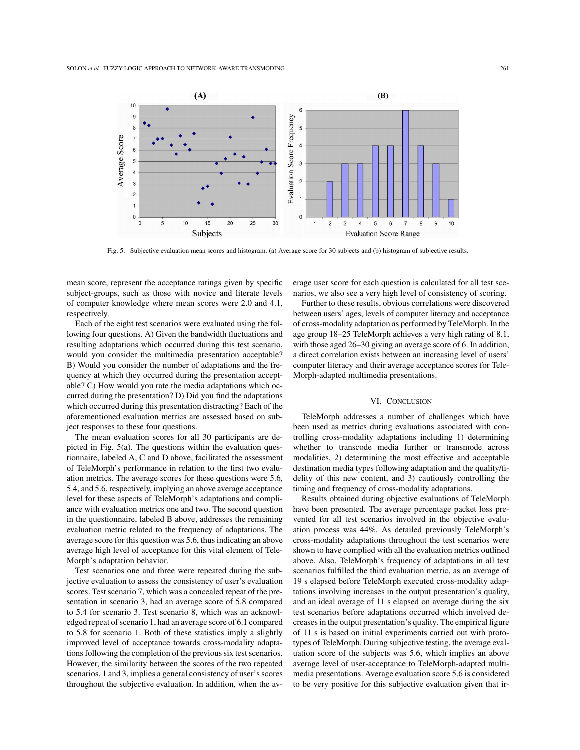

Fig. 5. Subjective evaluation mean scores and histogram. (a) Average score for 30 subjects and (b) histogram of subjective results.

mean score, represent the acceptance ratings given by specific subject-groups, such as those with novice and literate levels of computer knowledge where mean scores were 2.0 and 4.1, respectively.

Each of the eight test scenarios were evaluated using the following four questions. A) Given the bandwidth fluctuations and resulting adaptations which occurred during this test scenario, would you consider the multimedia presentation acceptable? B) Would you consider the number of adaptations and the frequency at which they occurred during the presentation acceptable? C) How would you rate the media adaptations which occurred during the presentation? D) Did you find the adaptations which occurred during this presentation distracting? Each of the aforementioned evaluation metrics are assessed based on subject responses to these four questions.

The mean evaluation scores for all 30 participants are depicted in Fig. 5(a). The questions within the evaluation questionnaire, labeled A, C and D above, facilitated the assessment of TeleMorph's performance in relation to the first two evaluation metrics. The average scores for these questions were 5.6, 5.4, and 5.6, respectively, implying an above average acceptance level for these aspects of TeleMorph's adaptations and compliance with evaluation metrics one and two. The second question in the questionnaire, labeled B above, addresses the remaining evaluation metric related to the frequency of adaptations. The average score for this question was 5.6, thus indicating an above average high level of acceptance for this vital element of Tele-Morph's adaptation behavior.

Test scenarios one and three were repeated during the subjective evaluation to assess the consistency of user's evaluation scores. Test scenario 7, which was a concealed repeat of the presentation in scenario 3, had an average score of 5.8 compared to 5.4 for scenario 3. Test scenario 8, which was an acknowledged repeat of scenario 1, had an average score of 6.1 compared to 5.8 for scenario 1. Both of these statistics imply a slightly improved level of acceptance towards cross-modality adaptations following the completion of the previous six test scenarios. However, the similarity between the scores of the two repeated scenarios, 1 and 3, implies a general consistency of user's scores throughout the subjective evaluation. In addition, when the average user score for each question is calculated for all test scenarios, we also see a very high level of consistency of scoring.

Further to these results, obvious correlations were discovered between users' ages, levels of computer literacy and acceptance of cross-modality adaptation as performed by TeleMorph. In the age group 18–25 TeleMorph achieves a very high rating of 8.1, with those aged 26–30 giving an average score of 6. In addition, a direct correlation exists between an increasing level of users' computer literacy and their average acceptance scores for Tele-Morph-adapted multimedia presentations.

# VI. CONCLUSION

TeleMorph addresses a number of challenges which have been used as metrics during evaluations associated with controlling cross-modality adaptations including 1) determining whether to transcode media further or transmode across modalities, 2) determining the most effective and acceptable destination media types following adaptation and the quality/fidelity of this new content, and 3) cautiously controlling the timing and frequency of cross-modality adaptations.

Results obtained during objective evaluations of TeleMorph have been presented. The average percentage packet loss prevented for all test scenarios involved in the objective evaluation process was 44%. As detailed previously TeleMorph's cross-modality adaptations throughout the test scenarios were shown to have complied with all the evaluation metrics outlined above. Also, TeleMorph's frequency of adaptations in all test scenarios fulfilled the third evaluation metric, as an average of 19 s elapsed before TeleMorph executed cross-modality adaptations involving increases in the output presentation's quality, and an ideal average of 11 s elapsed on average during the six test scenarios before adaptations occurred which involved decreases in the output presentation's quality. The empirical figure of 11 s is based on initial experiments carried out with prototypes of TeleMorph. During subjective testing, the average evaluation score of the subjects was 5.6, which implies an above average level of user-acceptance to TeleMorph-adapted multimedia presentations. Average evaluation score 5.6 is considered to be very positive for this subjective evaluation given that ir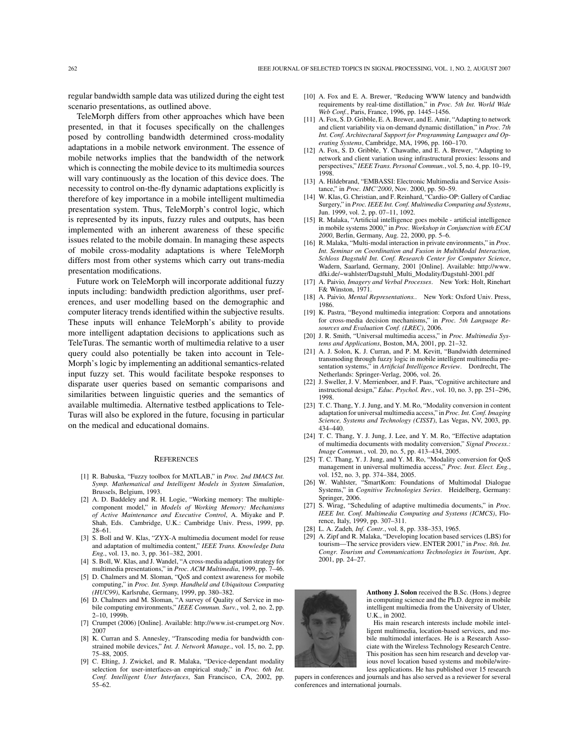regular bandwidth sample data was utilized during the eight test scenario presentations, as outlined above.

TeleMorph differs from other approaches which have been presented, in that it focuses specifically on the challenges posed by controlling bandwidth determined cross-modality adaptations in a mobile network environment. The essence of mobile networks implies that the bandwidth of the network which is connecting the mobile device to its multimedia sources will vary continuously as the location of this device does. The necessity to control on-the-fly dynamic adaptations explicitly is therefore of key importance in a mobile intelligent multimedia presentation system. Thus, TeleMorph's control logic, which is represented by its inputs, fuzzy rules and outputs, has been implemented with an inherent awareness of these specific issues related to the mobile domain. In managing these aspects of mobile cross-modality adaptations is where TeleMorph differs most from other systems which carry out trans-media presentation modifications.

Future work on TeleMorph will incorporate additional fuzzy inputs including: bandwidth prediction algorithms, user preferences, and user modelling based on the demographic and computer literacy trends identified within the subjective results. These inputs will enhance TeleMorph's ability to provide more intelligent adaptation decisions to applications such as TeleTuras. The semantic worth of multimedia relative to a user query could also potentially be taken into account in Tele-Morph's logic by implementing an additional semantics-related input fuzzy set. This would facilitate bespoke responses to disparate user queries based on semantic comparisons and similarities between linguistic queries and the semantics of available multimedia. Alternative testbed applications to Tele-Turas will also be explored in the future, focusing in particular on the medical and educational domains.

#### **REFERENCES**

- [1] R. Babuska, "Fuzzy toolbox for MATLAB," in *Proc. 2nd IMACS Int. Symp. Mathematical and Intelligent Models in System Simulation*, Brussels, Belgium, 1993.
- [2] A. D. Baddeley and R. H. Logie, "Working memory: The multiplecomponent model," in *Models of Working Memory: Mechanisms of Active Maintenance and Executive Control*, A. Miyake and P. Shah, Eds. Cambridge, U.K.: Cambridge Univ. Press, 1999, pp. 28–61.
- [3] S. Boll and W. Klas, "ZYX-A multimedia document model for reuse and adaptation of multimedia content," *IEEE Trans. Knowledge Data Eng.*, vol. 13, no. 3, pp. 361–382, 2001.
- [4] S. Boll, W. Klas, and J. Wandel, "A cross-media adaptation strategy for multimedia presentations," in *Proc. ACM Multimedia*, 1999, pp. 7–46.
- [5] D. Chalmers and M. Sloman, "QoS and context awareness for mobile computing," in *Proc. Int. Symp. Handheld and Ubiquitous Computing (HUC99)*, Karlsruhe, Germany, 1999, pp. 380–382.
- [6] D. Chalmers and M. Sloman, "A survey of Quality of Service in mobile computing environments," *IEEE Commun. Surv.*, vol. 2, no. 2, pp. 2–10, 1999b.
- [7] Crumpet (2006) [Online]. Available: http://www.ist-crumpet.org Nov. 2007
- [8] K. Curran and S. Annesley, "Transcoding media for bandwidth constrained mobile devices," *Int. J. Network Manage.*, vol. 15, no. 2, pp. 75–88, 2005.
- [9] C. Elting, J. Zwickel, and R. Malaka, "Device-dependant modality selection for user-interfaces-an empirical study," in *Proc. 6th Int. Conf. Intelligent User Interfaces*, San Francisco, CA, 2002, pp. 55–62.
- [10] A. Fox and E. A. Brewer, "Reducing WWW latency and bandwidth requirements by real-time distillation," in *Proc. 5th Int. World Wide Web Conf.*, Paris, France, 1996, pp. 1445–1456.
- A. Fox, S. D. Gribble, E. A. Brewer, and E. Amir, "Adapting to network and client variability via on-demand dynamic distillation," in *Proc. 7th Int. Conf. Architectural Support for Programming Languages and Operating Systems*, Cambridge, MA, 1996, pp. 160–170.
- [12] A. Fox, S. D. Gribble, Y. Chawathe, and E. A. Brewer, "Adapting to network and client variation using infrastructural proxies: lessons and perspectives," *IEEE Trans. Personal Commun.*, vol. 5, no. 4, pp. 10–19, 1998.
- [13] A. Hildebrand, "EMBASSI: Electronic Multimedia and Service Assistance," in *Proc. IMC'2000*, Nov. 2000, pp. 50–59.
- [14] W. Klas, G. Christian, and F. Reinhard, "Cardio-OP: Gallery of Cardiac Surgery," in *Proc. IEEE Int. Conf. Multimedia Computing and Systems*, Jun. 1999, vol. 2, pp. 07–11, 1092.
- [15] R. Malaka, "Artificial intelligence goes mobile artificial intelligence in mobile systems 2000," in *Proc. Workshop in Conjunction with ECAI 2000*, Berlin, Germany, Aug. 22, 2000, pp. 5–6.
- [16] R. Malaka, "Multi-modal interaction in private environments," in *Proc. Int. Seminar on Coordination and Fusion in MultiModal Interaction, Schloss Dagstuhl Int. Conf. Research Center for Computer Science*, Wadern, Saarland, Germany, 2001 [Online]. Available: http://www. dfki.de/~wahlster/Dagstuhl\_Multi\_Modality/Dagstuhl-2001.pdf
- [17] A. Paivio*, Imagery and Verbal Processes*. New York: Holt, Rinehart F& Winston, 1971.
- [18] A. Paivio*, Mental Representations.*. New York: Oxford Univ. Press, 1986.
- [19] K. Pastra, "Beyond multimedia integration: Corpora and annotations for cross-media decision mechanisms," in *Proc. 5th Language Resources and Evaluation Conf. (LREC)*, 2006.
- [20] J. R. Smith, "Universal multimedia access," in *Proc. Multimedia Systems and Applications*, Boston, MA, 2001, pp. 21–32.
- [21] A. J. Solon, K. J. Curran, and P. M. Kevitt, "Bandwidth determined transmoding through fuzzy logic in mobile intelligent multimedia presentation systems," in *Artificial Intelligence Review*. Dordrecht, The Netherlands: Springer-Verlag, 2006, vol. 26.
- [22] J. Sweller, J. V. Merrienboer, and F. Paas, "Cognitive architecture and instructional design," *Educ. Psychol. Rev.*, vol. 10, no. 3, pp. 251–296, 1998.
- [23] T. C. Thang, Y. J. Jung, and Y. M. Ro, "Modality conversion in content adaptation for universal multimedia access," in *Proc. Int. Conf. Imaging Science, Systems and Technology (CISST)*, Las Vegas, NV, 2003, pp. 434–440.
- [24] T. C. Thang, Y. J. Jung, J. Lee, and Y. M. Ro, "Effective adaptation of multimedia documents with modality conversion," *Signal Process.: Image Commun.*, vol. 20, no. 5, pp. 413–434, 2005.
- [25] T. C. Thang, Y. J. Jung, and Y. M. Ro, "Modality conversion for QoS management in universal multimedia access," *Proc. Inst. Elect. Eng.*, vol. 152, no. 3, pp. 374–384, 2005.
- [26] W. Wahlster, "SmartKom: Foundations of Multimodal Dialogue Systems," in *Cognitive Technologies Series*. Heidelberg, Germany: Springer, 2006.
- [27] S. Wirag, "Scheduling of adaptive multimedia documents," in *Proc. IEEE Int. Conf. Multimedia Computing and Systems (ICMCS)*, Florence, Italy, 1999, pp. 307–311.
- [28] L. A. Zadeh*, Inf. Contr.*, vol. 8, pp. 338–353, 1965.
- [29] A. Zipf and R. Malaka, "Developing location based services (LBS) for tourism—The service providers view. ENTER 2001," in *Proc. 8th. Int. Congr. Tourism and Communications Technologies in Tourism*, Apr. 2001, pp. 24–27.



**Anthony J. Solon** received the B.Sc. (Hons.) degree in computing science and the Ph.D. degree in mobile intelligent multimedia from the University of Ulster, U.K., in 2002.

His main research interests include mobile intelligent multimedia, location-based services, and mobile multimodal interfaces. He is a Research Associate with the Wireless Technology Research Centre. This position has seen him research and develop various novel location based systems and mobile/wireless applications. He has published over 15 research

papers in conferences and journals and has also served as a reviewer for several conferences and international journals.